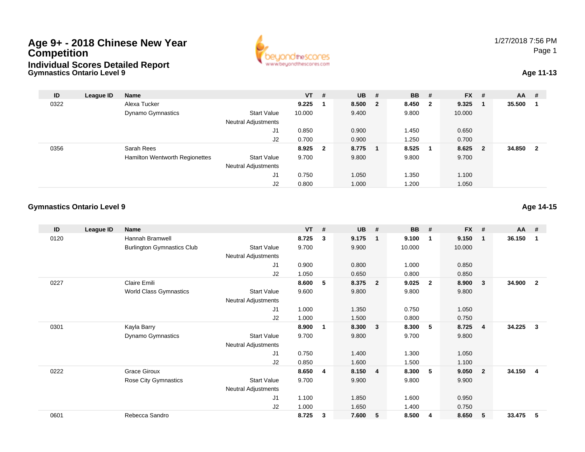## **Gymnastics Ontario Level 9Age 9+ - 2018 Chinese New Year CompetitionIndividual Scores Detailed Report**



## **Age 11-13**

| ID   | League ID | <b>Name</b>                    |                            | $VT$ #  | $UB$ #  | <b>BB</b> | #                       | <b>FX</b> | #                       | <b>AA</b> | -#                      |
|------|-----------|--------------------------------|----------------------------|---------|---------|-----------|-------------------------|-----------|-------------------------|-----------|-------------------------|
| 0322 |           | Alexa Tucker                   |                            | 9.225   | 8.500 2 | 8.450     | $\overline{\mathbf{2}}$ | 9.325     |                         | 35.500    |                         |
|      |           | <b>Dynamo Gymnastics</b>       | <b>Start Value</b>         | 10.000  | 9.400   | 9.800     |                         | 10.000    |                         |           |                         |
|      |           |                                | <b>Neutral Adjustments</b> |         |         |           |                         |           |                         |           |                         |
|      |           |                                | J <sub>1</sub>             | 0.850   | 0.900   | l.450     |                         | 0.650     |                         |           |                         |
|      |           |                                | J2                         | 0.700   | 0.900   | 1.250     |                         | 0.700     |                         |           |                         |
| 0356 |           | Sarah Rees                     |                            | 8.925 2 | 8.775   | 8.525     | - 1                     | 8.625     | $\overline{\mathbf{2}}$ | 34.850    | $\overline{\mathbf{2}}$ |
|      |           | Hamilton Wentworth Regionettes | <b>Start Value</b>         | 9.700   | 9.800   | 9.800     |                         | 9.700     |                         |           |                         |
|      |           |                                | <b>Neutral Adjustments</b> |         |         |           |                         |           |                         |           |                         |
|      |           |                                | J1                         | 0.750   | 1.050   | 1.350     |                         | 1.100     |                         |           |                         |
|      |           |                                | J2                         | 0.800   | 1.000   | 1.200     |                         | 1.050     |                         |           |                         |

#### **Gymnastics Ontario Level 9Age 14-15**

| ID   | League ID | <b>Name</b>                       |                            | <b>VT</b> | # | <b>UB</b> | #              | <b>BB</b> | #                       | <b>FX</b> | #                       | <b>AA</b> | #              |
|------|-----------|-----------------------------------|----------------------------|-----------|---|-----------|----------------|-----------|-------------------------|-----------|-------------------------|-----------|----------------|
| 0120 |           | Hannah Bramwell                   |                            | 8.725     | 3 | 9.175     | $\mathbf 1$    | 9.100     | $\overline{1}$          | 9.150     | $\overline{\mathbf{1}}$ | 36.150    | -1             |
|      |           | <b>Burlington Gymnastics Club</b> | <b>Start Value</b>         | 9.700     |   | 9.900     |                | 10.000    |                         | 10.000    |                         |           |                |
|      |           |                                   | <b>Neutral Adjustments</b> |           |   |           |                |           |                         |           |                         |           |                |
|      |           |                                   | J1                         | 0.900     |   | 0.800     |                | 1.000     |                         | 0.850     |                         |           |                |
|      |           |                                   | J2                         | 1.050     |   | 0.650     |                | 0.800     |                         | 0.850     |                         |           |                |
| 0227 |           | Claire Emili                      |                            | 8.600     | 5 | 8.375     | $\overline{2}$ | 9.025     | $\overline{\mathbf{2}}$ | 8.900     | 3                       | 34.900    | $\overline{2}$ |
|      |           | World Class Gymnastics            | <b>Start Value</b>         | 9.600     |   | 9.800     |                | 9.800     |                         | 9.800     |                         |           |                |
|      |           |                                   | <b>Neutral Adjustments</b> |           |   |           |                |           |                         |           |                         |           |                |
|      |           |                                   | J1                         | 1.000     |   | 1.350     |                | 0.750     |                         | 1.050     |                         |           |                |
|      |           |                                   | J <sub>2</sub>             | 1.000     |   | 1.500     |                | 0.800     |                         | 0.750     |                         |           |                |
| 0301 |           | Kayla Barry                       |                            | 8.900     | 1 | 8.300     | 3              | 8.300     | - 5                     | 8.725     | $\overline{4}$          | 34.225    | 3              |
|      |           | Dynamo Gymnastics                 | <b>Start Value</b>         | 9.700     |   | 9.800     |                | 9.700     |                         | 9.800     |                         |           |                |
|      |           |                                   | Neutral Adjustments        |           |   |           |                |           |                         |           |                         |           |                |
|      |           |                                   | J1                         | 0.750     |   | 1.400     |                | 1.300     |                         | 1.050     |                         |           |                |
|      |           |                                   | J2                         | 0.850     |   | 1.600     |                | 1.500     |                         | 1.100     |                         |           |                |
| 0222 |           | <b>Grace Giroux</b>               |                            | 8.650     | 4 | 8.150     | $\overline{4}$ | 8.300     | -5                      | 9.050     | $\overline{\mathbf{2}}$ | 34.150    | 4              |
|      |           | Rose City Gymnastics              | <b>Start Value</b>         | 9.700     |   | 9.900     |                | 9.800     |                         | 9.900     |                         |           |                |
|      |           |                                   | Neutral Adjustments        |           |   |           |                |           |                         |           |                         |           |                |
|      |           |                                   | J1                         | 1.100     |   | 1.850     |                | 1.600     |                         | 0.950     |                         |           |                |
|      |           |                                   | J2                         | 1.000     |   | 1.650     |                | 1.400     |                         | 0.750     |                         |           |                |
| 0601 |           | Rebecca Sandro                    |                            | 8.725     | 3 | 7.600     | 5              | 8.500     | 4                       | 8.650     | 5                       | 33.475    | 5              |